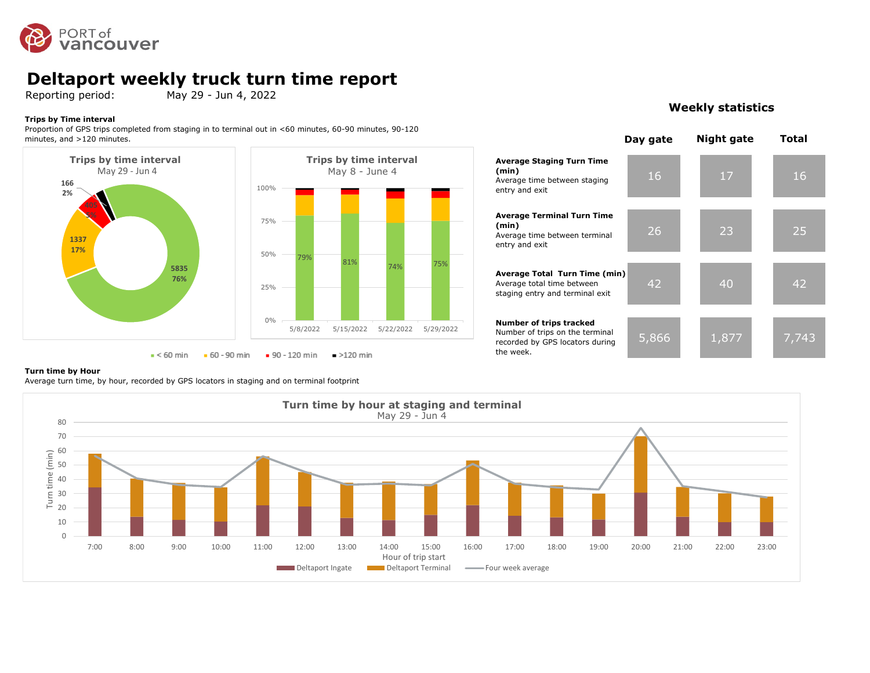

### **Deltaport weekly truck turn time report**

Reporting period: May 29 - Jun 4, 2022

#### **Trips by Time interval**

Proportion of GPS trips completed from staging in to terminal out in <60 minutes, 60-90 minutes, 90-120 minutes, and >120 minutes.





#### **Weekly statistics**



#### **Turn time by Hour**

Average turn time, by hour, recorded by GPS locators in staging and on terminal footprint

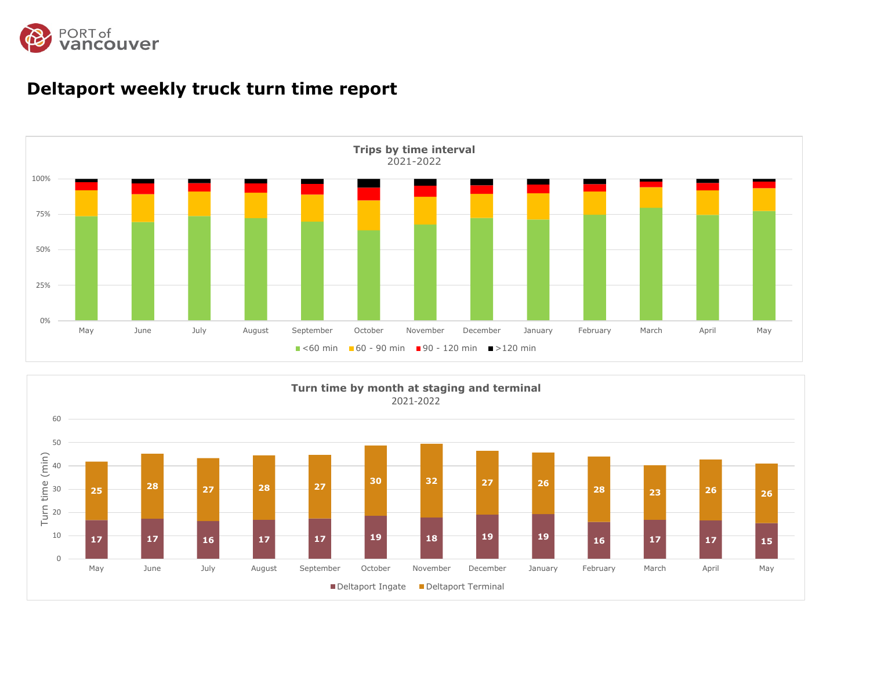



### **Deltaport weekly truck turn time report**

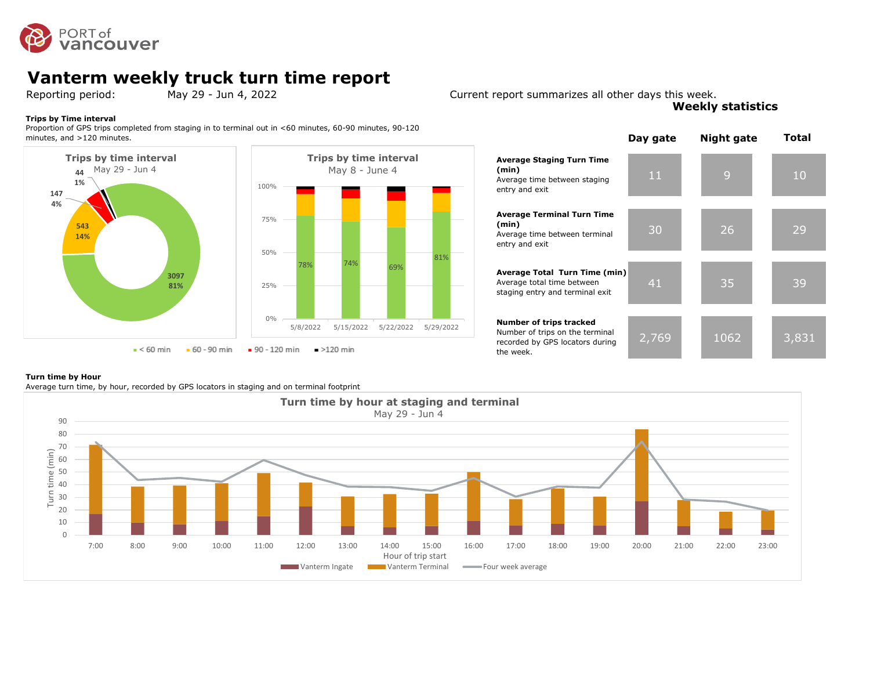

## **Vanterm weekly truck turn time report**<br>Reporting period: May 29 - Jun 4, 2022

#### **Trips by Time interval**

Proportion of GPS trips completed from staging in to terminal out in <60 minutes, 60-90 minutes, 90-120 minutes, and >120 minutes.



Reporting period: May 29 - Jun 4, 2022 Current report summarizes all other days this week. **Weekly statistics**



#### **Turn time by Hour**

Average turn time, by hour, recorded by GPS locators in staging and on terminal footprint

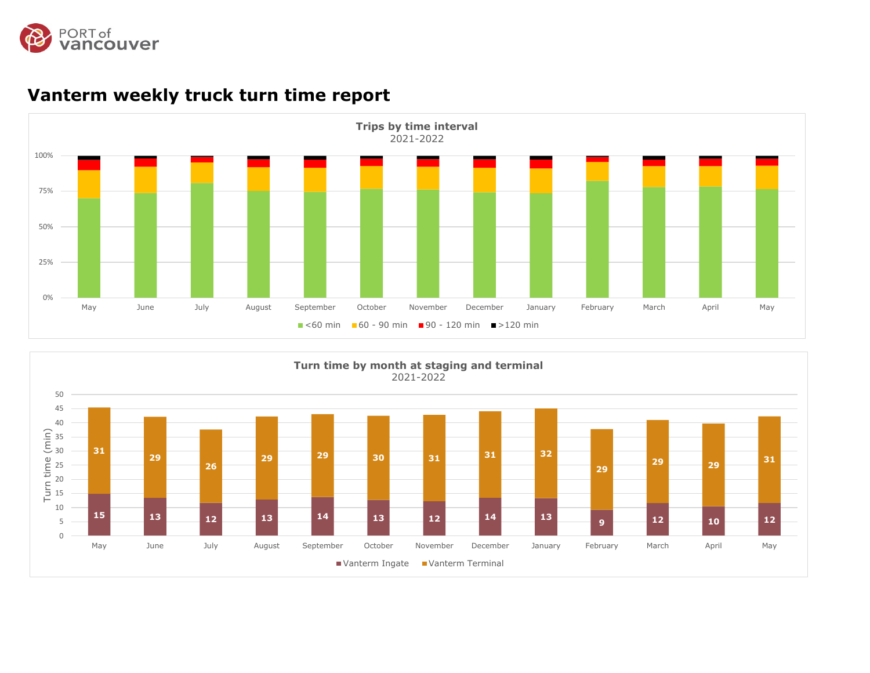



### **Vanterm weekly truck turn time report**

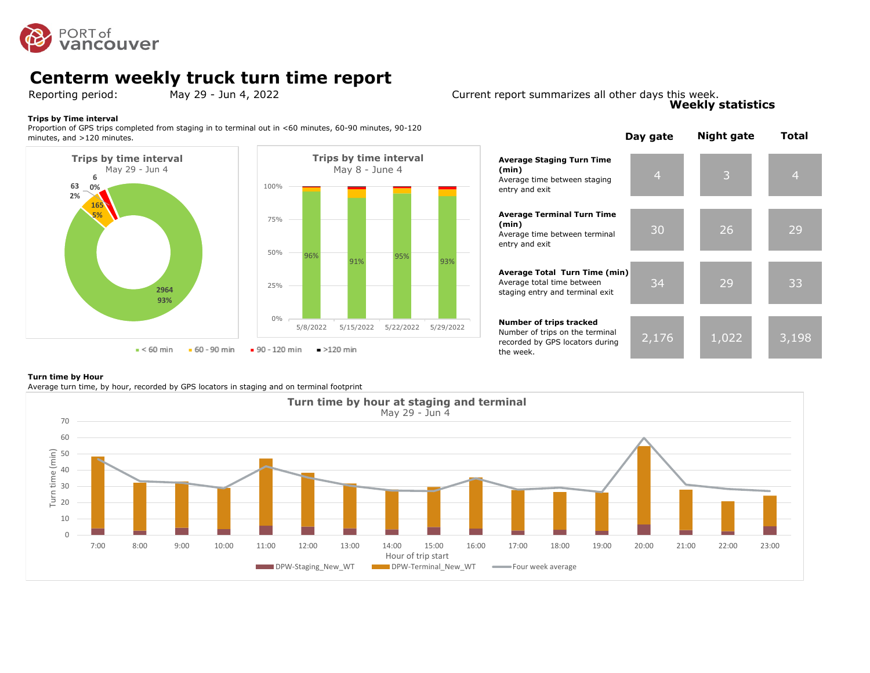

## **Centerm weekly truck turn time report**<br>Reporting period: May 29 - Jun 4, 2022

#### **Trips by Time interval**

Proportion of GPS trips completed from staging in to terminal out in <60 minutes, 60-90 minutes, 90-120 minutes, and >120 minutes.



#### Reporting period: May 29 - Jun 4, 2022 Current report summarizes all other days this week. **Weekly statistics**



#### **Turn time by Hour**

Average turn time, by hour, recorded by GPS locators in staging and on terminal footprint

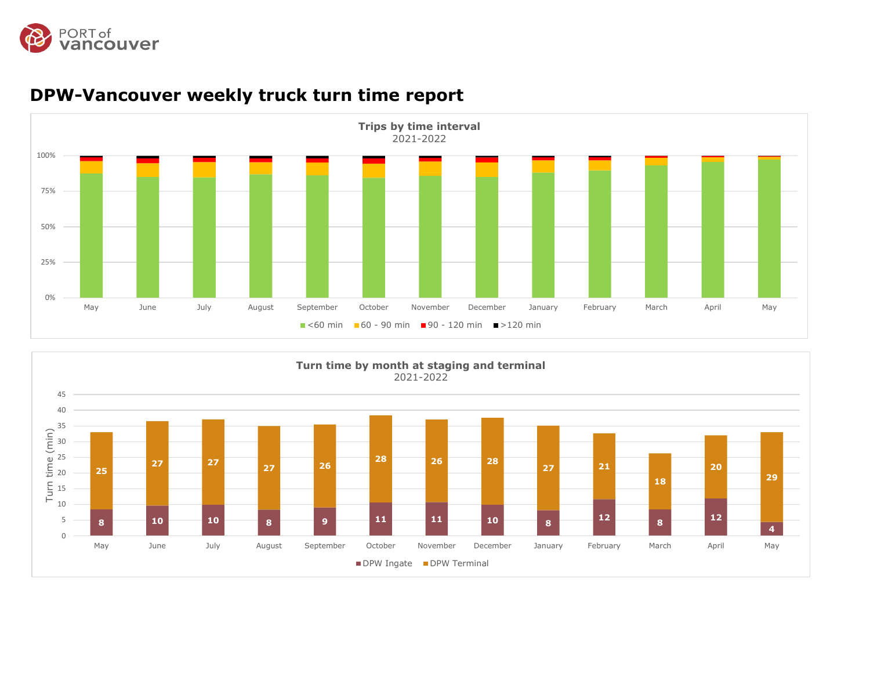



## **DPW-Vancouver weekly truck turn time report**

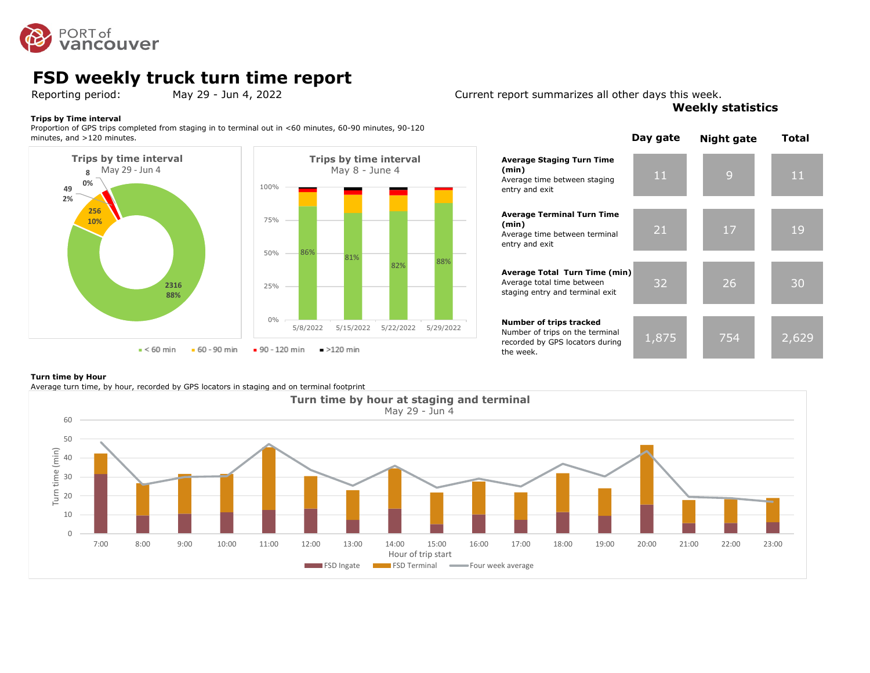

## **FSD weekly truck turn time report**<br>Reporting period: May 29 - Jun 4, 2022

#### **Trips by Time interval**

Proportion of GPS trips completed from staging in to terminal out in <60 minutes, 60-90 minutes, 90-120 minutes, and >120 minutes.



#### **Average Staging Turn Time (min)** Average time between staging entry and exit **Average Terminal Turn Time (min)** Average time between terminal entry and exit **Average Total Turn Time (min)** Average total time between staging entry and terminal exit **Number of trips tracked** Number of trips on the terminal recorded by GPS locators during 82% 88%

# 11 9 11 **Day gate Night gate Total**

| CHEY GHO CAIL                                                                                                     |       |     |       |
|-------------------------------------------------------------------------------------------------------------------|-------|-----|-------|
| <b>Average Terminal Turn Time</b><br>(min)<br>Average time between terminal<br>entry and exit                     | 21    | 17  | 19    |
| Average Total Turn Time (min)<br>Average total time between<br>staging entry and terminal exit                    | 32    | 26  | 30    |
| <b>Number of trips tracked</b><br>Number of trips on the terminal<br>recorded by GPS locators during<br>the week. | 1,875 | 754 | 2,629 |

#### **Turn time by Hour**

Average turn time, by hour, recorded by GPS locators in staging and on terminal footprint



Reporting period: May 29 - Jun 4, 2022 Current report summarizes all other days this week.

**Weekly statistics**